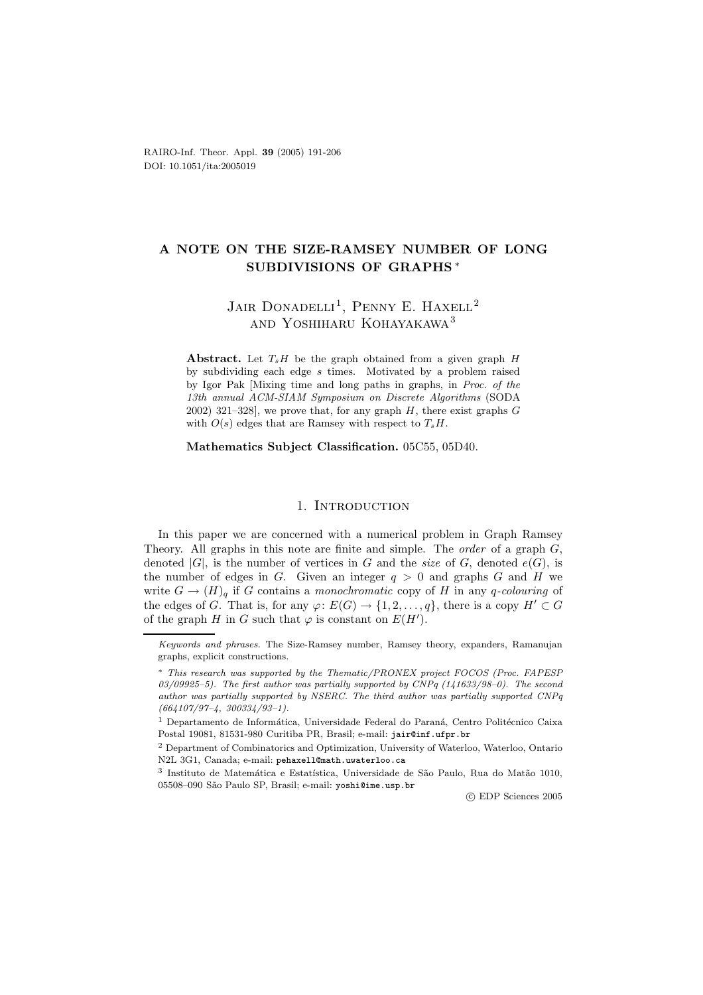RAIRO-Inf. Theor. Appl. **39** (2005) 191-206 DOI: 10.1051/ita:2005019

## **A NOTE ON THE SIZE-RAMSEY NUMBER OF LONG SUBDIVISIONS OF GRAPHS** ∗

# JAIR DONADELLI<sup>1</sup>, PENNY E. HAXELL<sup>2</sup> and Yoshiharu Kohayakawa<sup>3</sup>

**Abstract.** Let  $T_sH$  be the graph obtained from a given graph  $H$ by subdividing each edge *s* times. Motivated by a problem raised by Igor Pak [Mixing time and long paths in graphs, in *Proc. of the 13th annual ACM-SIAM Symposium on Discrete Algorithms* (SODA 2002) 321–328], we prove that, for any graph *H*, there exist graphs *G* with  $O(s)$  edges that are Ramsey with respect to  $T_sH$ .

**Mathematics Subject Classification.** 05C55, 05D40.

#### 1. INTRODUCTION

In this paper we are concerned with a numerical problem in Graph Ramsey Theory. All graphs in this note are finite and simple. The *order* of a graph G, denoted  $|G|$ , is the number of vertices in G and the *size* of G, denoted  $e(G)$ , is the number of edges in  $G$ . Given an integer  $q > 0$  and graphs  $G$  and  $H$  we write  $G \to (H)_{q}$  if G contains a *monochromatic* copy of H in any q-colouring of the edges of G. That is, for any  $\varphi: E(G) \to \{1, 2, ..., q\}$ , there is a copy  $H' \subset G$ of the graph H in G such that  $\varphi$  is constant on  $E(H')$ .

-c EDP Sciences 2005

*Keywords and phrases.* The Size-Ramsey number, Ramsey theory, expanders, Ramanujan graphs, explicit constructions.

<sup>∗</sup> *This research was supported by the Thematic/PRONEX project FOCOS (Proc. FAPESP 03/09925–5). The first author was partially supported by CNPq (141633/98–0). The second author was partially supported by NSERC. The third author was partially supported CNPq (664107/97–4, 300334/93–1).*

 $^{\rm 1}$  Departamento de Informática, Universidade Federal do Paraná, Centro Politécnico Caixa Postal 19081, 81531-980 Curitiba PR, Brasil; e-mail: jair@inf.ufpr.br

<sup>2</sup> Department of Combinatorics and Optimization, University of Waterloo, Waterloo, Ontario N2L 3G1, Canada; e-mail: pehaxell@math.uwaterloo.ca

<sup>&</sup>lt;sup>3</sup> Instituto de Matemática e Estatística, Universidade de São Paulo, Rua do Matão 1010, 05508–090 S˜ao Paulo SP, Brasil; e-mail: yoshi@ime.usp.br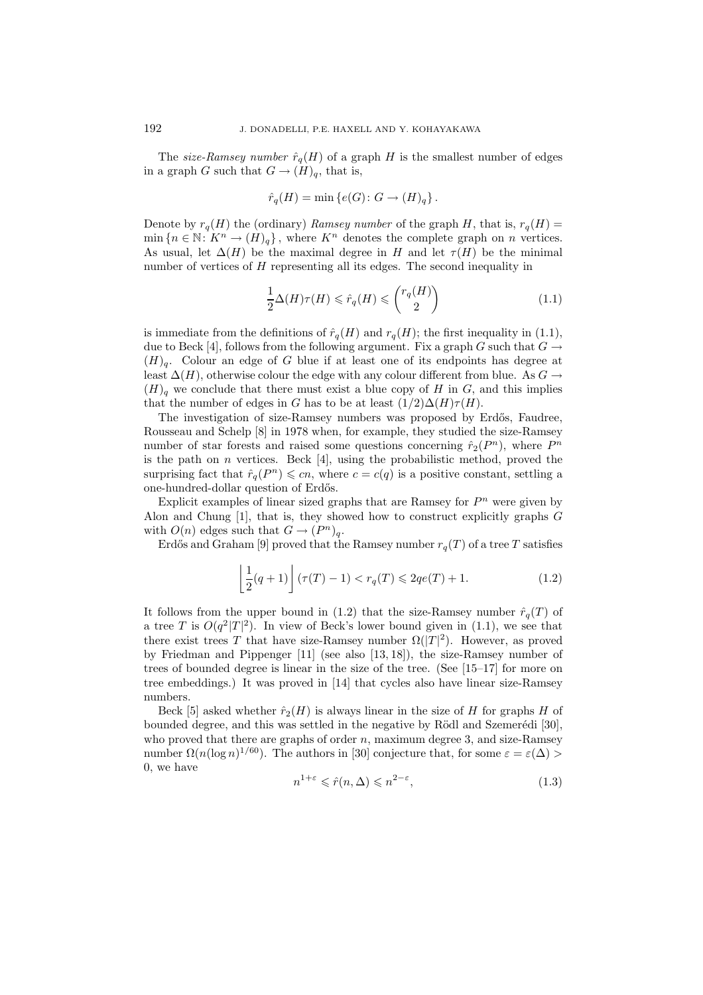The *size-Ramsey number*  $\hat{r}_q(H)$  of a graph H is the smallest number of edges in a graph G such that  $G \to (H)_{q}$ , that is,

$$
\hat{r}_q(H) = \min \left\{ e(G) \colon G \to (H)_q \right\}.
$$

Denote by  $r_q(H)$  the (ordinary) *Ramsey number* of the graph H, that is,  $r_q(H)$  =  $\min\{n \in \mathbb{N} : K^n \to (H)_q\},\$  where  $K^n$  denotes the complete graph on n vertices. As usual, let  $\Delta(H)$  be the maximal degree in H and let  $\tau(H)$  be the minimal number of vertices of H representing all its edges. The second inequality in

$$
\frac{1}{2}\Delta(H)\tau(H) \leq \hat{r}_q(H) \leq \binom{r_q(H)}{2} \tag{1.1}
$$

is immediate from the definitions of  $\hat{r}_q(H)$  and  $r_q(H)$ ; the first inequality in (1.1), due to Beck [4], follows from the following argument. Fix a graph G such that  $G \rightarrow$  $(H)$ <sub>a</sub>. Colour an edge of G blue if at least one of its endpoints has degree at least  $\Delta(H)$ , otherwise colour the edge with any colour different from blue. As  $G \rightarrow$  $(H)$ <sub>q</sub> we conclude that there must exist a blue copy of H in G, and this implies that the number of edges in G has to be at least  $(1/2)\Delta(H)\tau(H)$ .

The investigation of size-Ramsey numbers was proposed by Erdős, Faudree, Rousseau and Schelp [8] in 1978 when, for example, they studied the size-Ramsey number of star forests and raised some questions concerning  $\hat{r}_2(P^n)$ , where  $P^n$ is the path on n vertices. Beck [4], using the probabilistic method, proved the surprising fact that  $\hat{r}_q(P^n) \leqslant cn$ , where  $c = c(q)$  is a positive constant, settling a one-hundred-dollar question of Erdős.

Explicit examples of linear sized graphs that are Ramsey for  $P<sup>n</sup>$  were given by Alon and Chung [1], that is, they showed how to construct explicitly graphs G with  $O(n)$  edges such that  $G \to (P^n)_q$ .

Erdős and Graham [9] proved that the Ramsey number  $r_q(T)$  of a tree T satisfies

$$
\left\lfloor \frac{1}{2}(q+1)\right\rfloor (\tau(T)-1) < r_q(T) \leqslant 2qe(T) + 1. \tag{1.2}
$$

It follows from the upper bound in (1.2) that the size-Ramsey number  $\hat{r}_q(T)$  of a tree T is  $O(q^2|T|^2)$ . In view of Beck's lower bound given in (1.1), we see that there exist trees T that have size-Ramsey number  $\Omega(|T|^2)$ . However, as proved by Friedman and Pippenger [11] (see also [13, 18]), the size-Ramsey number of trees of bounded degree is linear in the size of the tree. (See [15–17] for more on tree embeddings.) It was proved in [14] that cycles also have linear size-Ramsey numbers.

Beck [5] asked whether  $\hat{r}_2(H)$  is always linear in the size of H for graphs H of bounded degree, and this was settled in the negative by Rödl and Szemerédi [30], who proved that there are graphs of order  $n$ , maximum degree 3, and size-Ramsey number  $\Omega(n(\log n)^{1/60})$ . The authors in [30] conjecture that, for some  $\varepsilon = \varepsilon(\Delta) >$ 0, we have

$$
n^{1+\varepsilon} \leq \hat{r}(n,\Delta) \leq n^{2-\varepsilon},\tag{1.3}
$$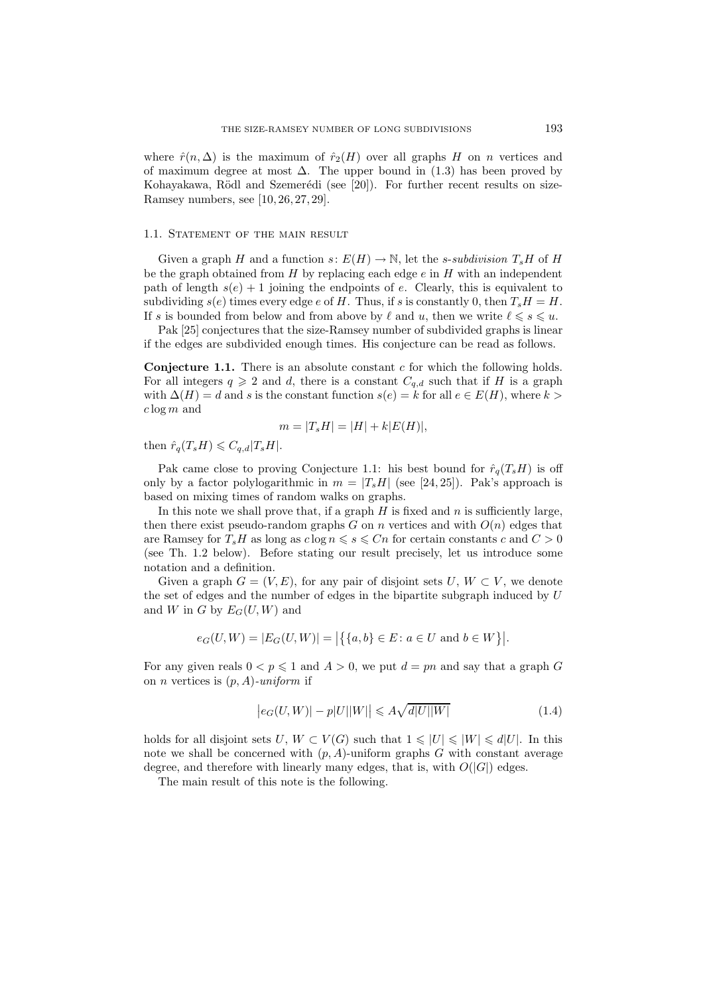where  $\hat{r}(n, \Delta)$  is the maximum of  $\hat{r}_2(H)$  over all graphs H on n vertices and of maximum degree at most  $\Delta$ . The upper bound in (1.3) has been proved by Kohayakawa, Rödl and Szemerédi (see [20]). For further recent results on size-Ramsey numbers, see [10, 26, 27, 29].

#### 1.1. STATEMENT OF THE MAIN RESULT

Given a graph H and a function  $s: E(H) \to \mathbb{N}$ , let the *s*-*subdivision*  $T_sH$  of H be the graph obtained from  $H$  by replacing each edge  $e$  in  $H$  with an independent path of length  $s(e) + 1$  joining the endpoints of e. Clearly, this is equivalent to subdividing  $s(e)$  times every edge e of H. Thus, if s is constantly 0, then  $T_sH = H$ . If s is bounded from below and from above by  $\ell$  and  $u$ , then we write  $\ell \leqslant s \leqslant u$ .

Pak [25] conjectures that the size-Ramsey number of subdivided graphs is linear if the edges are subdivided enough times. His conjecture can be read as follows.

**Conjecture 1.1.** There is an absolute constant c for which the following holds. For all integers  $q \geq 2$  and d, there is a constant  $C_{q,d}$  such that if H is a graph with  $\Delta(H) = d$  and s is the constant function  $s(e) = k$  for all  $e \in E(H)$ , where  $k >$  $c \log m$  and

$$
m = |T_s H| = |H| + k|E(H)|,
$$

then  $\hat{r}_q(T_sH) \leqslant C_{q,d}|T_sH|$ .

Pak came close to proving Conjecture 1.1: his best bound for  $\hat{r}_q(T_sH)$  is off only by a factor polylogarithmic in  $m = |T_s H|$  (see [24, 25]). Pak's approach is based on mixing times of random walks on graphs.

In this note we shall prove that, if a graph  $H$  is fixed and  $n$  is sufficiently large, then there exist pseudo-random graphs G on n vertices and with  $O(n)$  edges that are Ramsey for  $T_sH$  as long as  $c \log n \leq s \leq Cn$  for certain constants c and  $C > 0$ (see Th. 1.2 below). Before stating our result precisely, let us introduce some notation and a definition.

Given a graph  $G = (V, E)$ , for any pair of disjoint sets U,  $W \subset V$ , we denote the set of edges and the number of edges in the bipartite subgraph induced by U and W in G by  $E_G(U, W)$  and

$$
e_G(U, W) = |E_G(U, W)| = |\{ \{a, b\} \in E \colon a \in U \text{ and } b \in W \}|.
$$

For any given reals  $0 < p \le 1$  and  $A > 0$ , we put  $d = pn$  and say that a graph G on n vertices is (p, A)*-uniform* if

$$
\left| e_G(U, W) \right| - p|U||W| \le A\sqrt{d|U||W|} \tag{1.4}
$$

holds for all disjoint sets  $U, W \subset V(G)$  such that  $1 \leq |U| \leq |W| \leq d|U|$ . In this note we shall be concerned with  $(p, A)$ -uniform graphs G with constant average degree, and therefore with linearly many edges, that is, with  $O(|G|)$  edges.

The main result of this note is the following.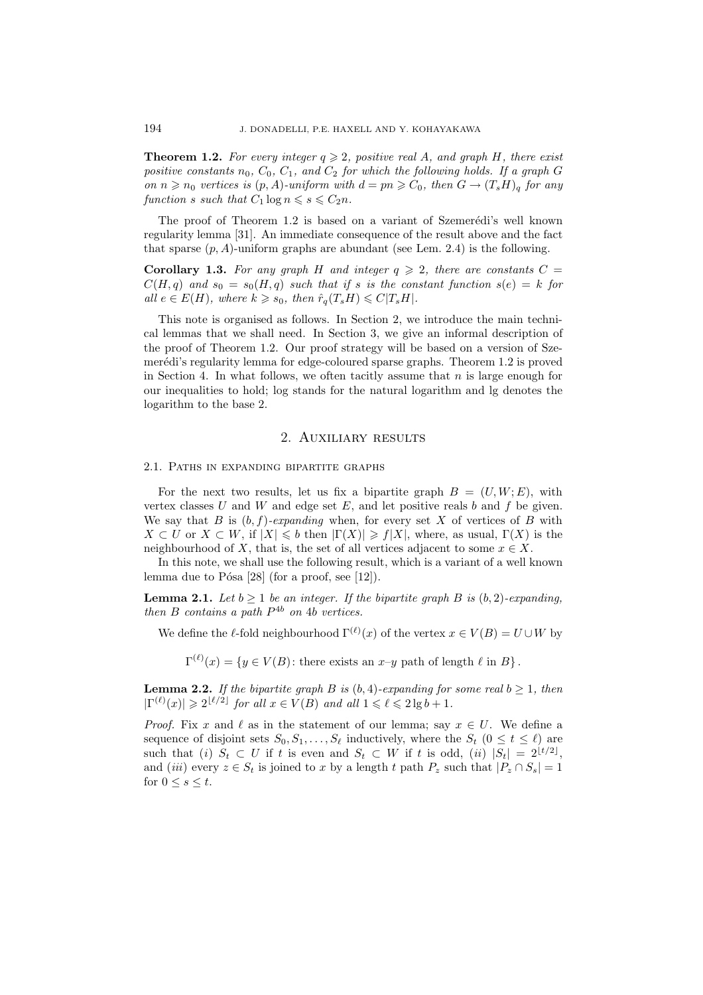**Theorem 1.2.** For every integer  $q \geq 2$ , positive real A, and graph H, there exist *positive constants*  $n_0$ ,  $C_0$ ,  $C_1$ , and  $C_2$  *for which the following holds. If a graph* G *on*  $n \ge n_0$  *vertices is*  $(p, A)$ *-uniform with*  $d = pn \ge C_0$ *, then*  $G \to (T_s H)_q$  *for any function* s *such that*  $C_1 \log n \leq s \leq C_2 n$ .

The proof of Theorem 1.2 is based on a variant of Szemerédi's well known regularity lemma [31]. An immediate consequence of the result above and the fact that sparse  $(p, A)$ -uniform graphs are abundant (see Lem. 2.4) is the following.

**Corollary 1.3.** For any graph H and integer  $q \ge 2$ , there are constants  $C =$  $C(H,q)$  and  $s_0 = s_0(H,q)$  such that if s is the constant function  $s(e) = k$  for  $all \ e \in E(H)$ *, where*  $k \geqslant s_0$ *, then*  $\hat{r}_q(T_sH) \leqslant C|T_sH|$ *.* 

This note is organised as follows. In Section 2, we introduce the main technical lemmas that we shall need. In Section 3, we give an informal description of the proof of Theorem 1.2. Our proof strategy will be based on a version of Szemerédi's regularity lemma for edge-coloured sparse graphs. Theorem 1.2 is proved in Section 4. In what follows, we often tacitly assume that  $n$  is large enough for our inequalities to hold; log stands for the natural logarithm and lg denotes the logarithm to the base 2.

#### 2. Auxiliary results

#### 2.1. Paths in expanding bipartite graphs

For the next two results, let us fix a bipartite graph  $B = (U, W; E)$ , with vertex classes U and W and edge set  $E$ , and let positive reals b and f be given. We say that B is  $(b, f)$ *-expanding* when, for every set X of vertices of B with  $X \subset U$  or  $X \subset W$ , if  $|X| \leqslant b$  then  $|\Gamma(X)| \geqslant f|X|$ , where, as usual,  $\Gamma(X)$  is the neighbourhood of X, that is, the set of all vertices adjacent to some  $x \in X$ .

In this note, we shall use the following result, which is a variant of a well known lemma due to Pósa  $[28]$  (for a proof, see  $[12]$ ).

**Lemma 2.1.** *Let*  $b \ge 1$  *be an integer. If the bipartite graph*  $B$  *is*  $(b, 2)$ *-expanding, then* B *contains a path* P4<sup>b</sup> *on* 4b *vertices.*

We define the  $\ell$ -fold neighbourhood  $\Gamma^{(\ell)}(x)$  of the vertex  $x \in V(B) = U \cup W$  by

 $\Gamma^{(\ell)}(x) = \{y \in V(B) : \text{there exists an } x \text{--}y \text{ path of length } \ell \text{ in } B\}.$ 

**Lemma 2.2.** *If the bipartite graph B is* (*b,* 4)*-expanding for some real*  $b \ge 1$ *, then*  $|\Gamma^{(\ell)}(x)| \geq 2^{\lfloor \ell/2 \rfloor}$  *for all*  $x \in V(B)$  *and all*  $1 \leq \ell \leq 2 \lg b + 1$ *.* 

*Proof.* Fix x and  $\ell$  as in the statement of our lemma; say  $x \in U$ . We define a sequence of disjoint sets  $S_0, S_1, \ldots, S_\ell$  inductively, where the  $S_t$   $(0 \le t \le \ell)$  are such that (*i*)  $S_t \subset U$  if t is even and  $S_t \subset W$  if t is odd, (*ii*)  $|S_t| = 2^{\lfloor t/2 \rfloor}$ , and (*iii*) every  $z \in S_t$  is joined to x by a length t path  $P_z$  such that  $|P_z \cap S_s| = 1$ for  $0 \leq s \leq t$ .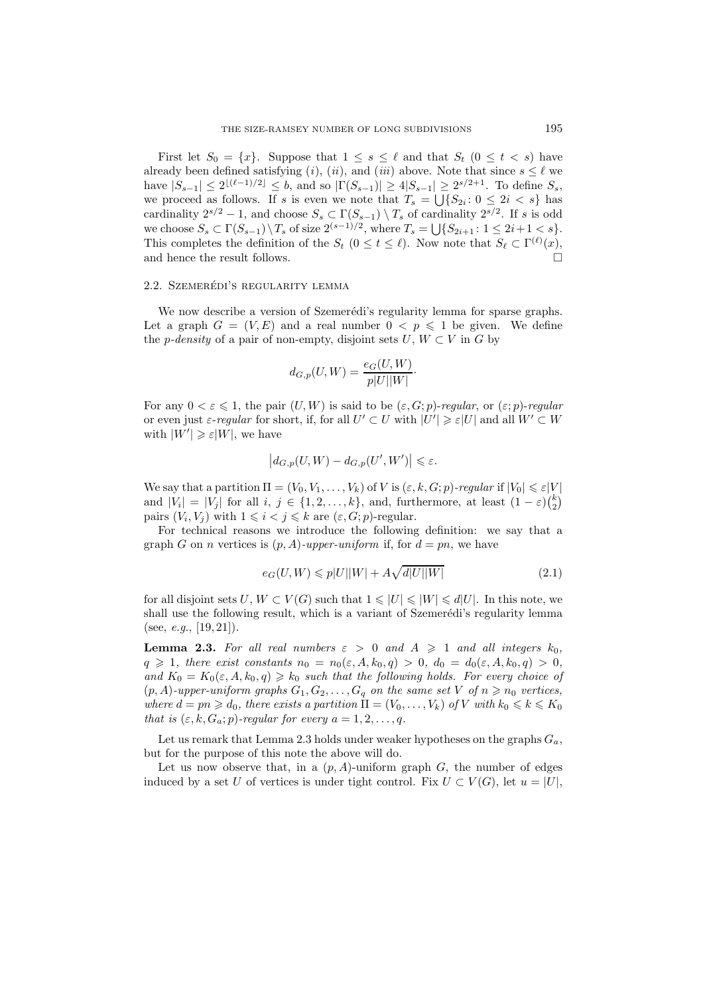First let  $S_0 = \{x\}$ . Suppose that  $1 \leq s \leq \ell$  and that  $S_t$   $(0 \leq t \leq s)$  have already been defined satisfying (*i*), (*ii*), and (*iii*) above. Note that since  $s \leq \ell$  we have  $|S_{s-1}| \leq 2^{\lfloor(\ell-1)/2\rfloor} \leq b$ , and so  $|\Gamma(S_{s-1})| \geq 4|S_{s-1}| \geq 2^{s/2+1}$ . To define  $S_s$ , we proceed as follows. If s is even we note that  $T_s = \bigcup \{S_{2i} : 0 \leq 2i \lt s\}$  has cardinality  $2^{s/2} - 1$ , and choose  $S_s \subset \Gamma(S_{s-1}) \setminus T_s$  of cardinality  $2^{s/2}$ . If s is odd we choose  $S_s \subset \Gamma(S_{s-1}) \setminus T_s$  of size  $2^{(s-1)/2}$ , where  $T_s = \bigcup \{S_{2i+1} : 1 \leq 2i+1 < s\}.$ This completes the definition of the  $S_t$   $(0 \le t \le \ell)$ . Now note that  $S_\ell \subset \Gamma^{(\ell)}(x)$ , and hence the result follows.  $\Box$ 

## 2.2. SZEMERÉDI'S REGULARITY LEMMA

We now describe a version of Szemerédi's regularity lemma for sparse graphs. Let a graph  $G = (V, E)$  and a real number  $0 < p \le 1$  be given. We define the *p-density* of a pair of non-empty, disjoint sets  $U, W \subset V$  in G by

$$
d_{G,p}(U,W) = \frac{e_G(U,W)}{p|U||W|}.
$$

For any  $0 < \varepsilon \leq 1$ , the pair  $(U, W)$  is said to be  $(\varepsilon, G; p)$ -regular, or  $(\varepsilon; p)$ -regular or even just  $\varepsilon$ -*regular* for short, if, for all  $U' \subset U$  with  $|U'| \geq \varepsilon |U|$  and all  $W' \subset W$ with  $|W'| \geqslant \varepsilon |W|$ , we have

$$
\left|d_{G,p}(U,W)-d_{G,p}(U',W')\right|\leqslant\varepsilon.
$$

We say that a partition  $\Pi = (V_0, V_1, \ldots, V_k)$  of V is  $(\varepsilon, k, G; p)$ *-regular* if  $|V_0| \leq \varepsilon |V|$ and  $|V_i| = |V_j|$  for all  $i, j \in \{1, 2, ..., k\}$ , and, furthermore, at least  $(1 - \varepsilon)\binom{k}{2}$  $\binom{k}{2}$ pairs  $(V_i, V_j)$  with  $1 \leq i < j \leq k$  are  $(\varepsilon, G; p)$ -regular.

For technical reasons we introduce the following definition: we say that a graph G on n vertices is  $(p, A)$ *-upper-uniform* if, for  $d = pn$ , we have

$$
e_G(U, W) \leqslant p|U||W| + A\sqrt{d|U||W|}
$$
\n
$$
(2.1)
$$

for all disjoint sets  $U, W \subset V(G)$  such that  $1 \leq |U| \leq |W| \leq d|U|$ . In this note, we shall use the following result, which is a variant of Szemerédi's regularity lemma (see, *e.g.*, [19, 21]).

**Lemma 2.3.** For all real numbers  $\varepsilon > 0$  and  $A \ge 1$  and all integers  $k_0$ ,  $q \geq 1$ , there exist constants  $n_0 = n_0(\varepsilon, A, k_0, q) > 0$ ,  $d_0 = d_0(\varepsilon, A, k_0, q) > 0$ , and  $K_0 = K_0(\varepsilon, A, k_0, q) \geqslant k_0$  *such that the following holds. For every choice of*  $(p, A)$ -upper-uniform graphs  $G_1, G_2, \ldots, G_q$  on the same set V of  $n \geq n_0$  vertices, *where*  $d = pn \geqslant d_0$ , there exists a partition  $\Pi = (V_0, \ldots, V_k)$  of V with  $k_0 \leqslant k \leqslant K_0$ *that is*  $(\varepsilon, k, G_a; p)$ *-regular for every*  $a = 1, 2, \ldots, q$ *.* 

Let us remark that Lemma 2.3 holds under weaker hypotheses on the graphs  $G_a$ , but for the purpose of this note the above will do.

Let us now observe that, in a  $(p, A)$ -uniform graph  $G$ , the number of edges induced by a set U of vertices is under tight control. Fix  $U \subset V(G)$ , let  $u = |U|$ ,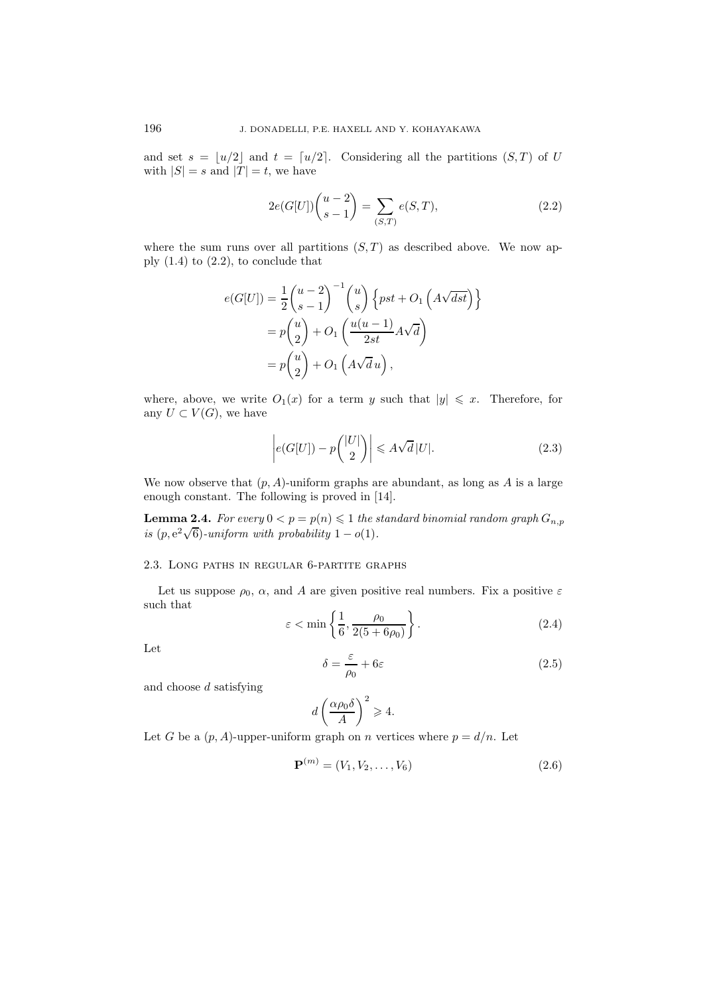and set  $s = \lfloor u/2 \rfloor$  and  $t = \lfloor u/2 \rfloor$ . Considering all the partitions  $(S, T)$  of U with  $|S| = s$  and  $|T| = t$ , we have

$$
2e(G[U])\binom{u-2}{s-1} = \sum_{(S,T)} e(S,T),\tag{2.2}
$$

where the sum runs over all partitions  $(S, T)$  as described above. We now apply  $(1.4)$  to  $(2.2)$ , to conclude that

$$
e(G[U]) = \frac{1}{2} {u-2 \choose s-1}^{-1} {u \choose s} \left\{ pst + O_1\left(A\sqrt{dst}\right) \right\}
$$

$$
= p {u \choose 2} + O_1\left(\frac{u(u-1)}{2st}A\sqrt{d}\right)
$$

$$
= p {u \choose 2} + O_1\left(A\sqrt{d}u\right),
$$

where, above, we write  $O_1(x)$  for a term y such that  $|y| \leq x$ . Therefore, for any  $U \subset V(G)$ , we have

$$
\left| e(G[U]) - p\binom{|U|}{2} \right| \leqslant A\sqrt{d} |U|.
$$
\n(2.3)

We now observe that  $(p, A)$ -uniform graphs are abundant, as long as A is a large enough constant. The following is proved in [14].

**Lemma 2.4.** *For every*  $0 < p = p(n) \leq 1$  *the standard binomial random graph*  $G_{n,p}$ **i** External 2.4. For every  $0 \le p - p(n) \le 1$  like s<br>is  $(p, e^2\sqrt{6})$ -uniform with probability  $1 - o(1)$ .

#### 2.3. Long paths in regular 6-partite graphs

Let us suppose  $\rho_0$ ,  $\alpha$ , and A are given positive real numbers. Fix a positive  $\varepsilon$ such that

$$
\varepsilon < \min\left\{\frac{1}{6}, \frac{\rho_0}{2(5+6\rho_0)}\right\}.\tag{2.4}
$$

Let

$$
\delta = \frac{\varepsilon}{\rho_0} + 6\varepsilon \tag{2.5}
$$

and choose d satisfying

$$
d\left(\frac{\alpha\rho_0\delta}{A}\right)^2 \geqslant 4.
$$

Let G be a  $(p, A)$ -upper-uniform graph on n vertices where  $p = d/n$ . Let

$$
\mathbf{P}^{(m)} = (V_1, V_2, \dots, V_6)
$$
 (2.6)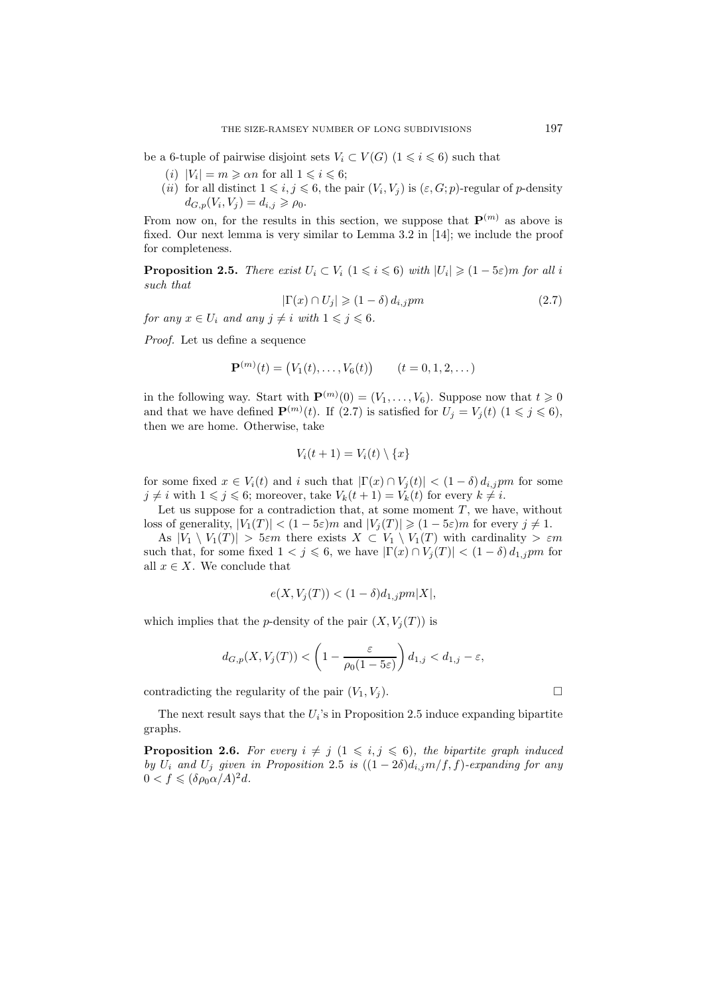be a 6-tuple of pairwise disjoint sets  $V_i \subset V(G)$   $(1 \leq i \leq 6)$  such that

- (*i*)  $|V_i| = m \ge \alpha n$  for all  $1 \le i \le 6$ ;
- (*ii*) for all distinct  $1 \leq i, j \leq 6$ , the pair  $(V_i, V_j)$  is  $(\varepsilon, G; p)$ -regular of p-density  $d_{G,p}(V_i, V_j) = d_{i,j} \geqslant \rho_0.$

From now on, for the results in this section, we suppose that  $\mathbf{P}^{(m)}$  as above is fixed. Our next lemma is very similar to Lemma 3.2 in [14]; we include the proof for completeness.

**Proposition 2.5.** *There exist*  $U_i \subset V_i$   $(1 \leq i \leq 6)$  *with*  $|U_i| \geq (1 - 5\varepsilon)m$  *for all i such that*

$$
|\Gamma(x) \cap U_j| \geq (1 - \delta) d_{i,j} pm \tag{2.7}
$$

*for any*  $x \in U_i$  *and any*  $j \neq i$  *with*  $1 \leq j \leq 6$ *.* 

*Proof.* Let us define a sequence

$$
\mathbf{P}^{(m)}(t) = (V_1(t), \dots, V_6(t)) \qquad (t = 0, 1, 2, \dots)
$$

in the following way. Start with  $\mathbf{P}^{(m)}(0) = (V_1, \ldots, V_6)$ . Suppose now that  $t \geq 0$ and that we have defined  $\mathbf{P}^{(m)}(t)$ . If (2.7) is satisfied for  $U_j = V_j(t)$  ( $1 \leq j \leq 6$ ), then we are home. Otherwise, take

$$
V_i(t+1) = V_i(t) \setminus \{x\}
$$

for some fixed  $x \in V_i(t)$  and i such that  $|\Gamma(x) \cap V_j(t)| < (1 - \delta) d_{i,j}$  for some  $j \neq i$  with  $1 \leq j \leq 6$ ; moreover, take  $V_k(t+1) = V_k(t)$  for every  $k \neq i$ .

Let us suppose for a contradiction that, at some moment  $T$ , we have, without loss of generality,  $|V_1(T)| < (1 - 5\varepsilon)m$  and  $|V_j(T)| \geq (1 - 5\varepsilon)m$  for every  $j \neq 1$ .

As  $|V_1 \setminus V_1(T)| > 5\varepsilon m$  there exists  $X \subset V_1 \setminus V_1(T)$  with cardinality  $> \varepsilon m$ such that, for some fixed  $1 < j \leq 6$ , we have  $|\Gamma(x) \cap V_i(T)| < (1 - \delta) d_{1,j}$  for all  $x \in X$ . We conclude that

$$
e(X, V_j(T)) < (1 - \delta)d_{1,j}pm|X|,
$$

which implies that the *p*-density of the pair  $(X, V_i(T))$  is

$$
d_{G,p}(X, V_j(T)) < \left(1 - \frac{\varepsilon}{\rho_0(1 - 5\varepsilon)}\right) d_{1,j} < d_{1,j} - \varepsilon,
$$

contradicting the regularity of the pair  $(V_1, V_j)$ .

The next result says that the  $U_i$ 's in Proposition 2.5 induce expanding bipartite graphs.

**Proposition 2.6.** For every  $i \neq j$   $(1 \leq i, j \leq 6)$ , the bipartite graph induced *by*  $U_i$  *and*  $U_j$  *given in Proposition* 2.5 *is*  $((1 – 2\delta)d_{i,j}m/f, f)$ *-expanding for any*  $0 < f \leqslant (\delta \rho_0 \alpha / A)^2 d$ .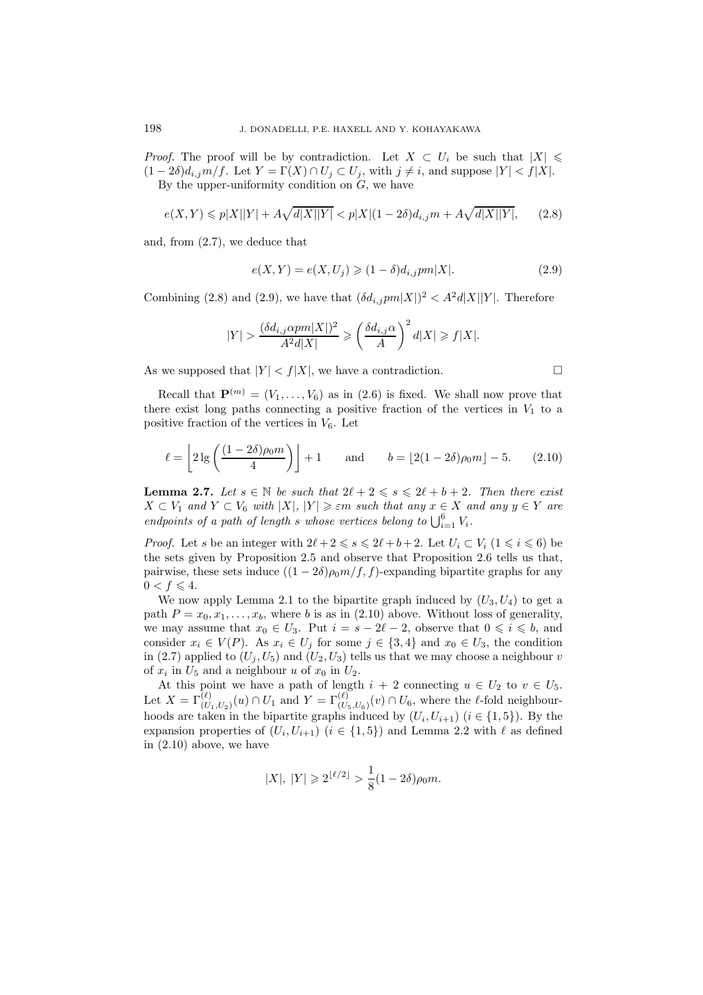*Proof.* The proof will be by contradiction. Let  $X \subset U_i$  be such that  $|X| \leq$  $(1-2\delta)d_{i,j}m/f$ . Let  $Y = \Gamma(X) \cap U_j \subset U_j$ , with  $j \neq i$ , and suppose  $|Y| < f|X|$ . By the upper-uniformity condition on  $G$ , we have

$$
e(X,Y) \leqslant p|X||Y| + A\sqrt{d|X||Y|} < p|X|(1-2\delta)d_{i,j}m + A\sqrt{d|X||Y|},\tag{2.8}
$$

and, from (2.7), we deduce that

$$
e(X,Y) = e(X,U_j) \geq (1-\delta)d_{i,j}pm|X|.
$$
\n
$$
(2.9)
$$

Combining (2.8) and (2.9), we have that  $(\delta d_{i,j}pm|X|)^2 < A^2d|X||Y|$ . Therefore

$$
|Y| > \frac{(\delta d_{i,j} \alpha pm|X|)^2}{A^2 d|X|} \geqslant \left(\frac{\delta d_{i,j} \alpha}{A}\right)^2 d|X| \geqslant f|X|.
$$

As we supposed that  $|Y| < f|X|$ , we have a contradiction.

Recall that  $\mathbf{P}^{(m)} = (V_1, \ldots, V_6)$  as in (2.6) is fixed. We shall now prove that there exist long paths connecting a positive fraction of the vertices in  $V_1$  to a positive fraction of the vertices in  $V_6$ . Let

$$
\ell = \left\lfloor 2\lg\left(\frac{(1-2\delta)\rho_0 m}{4}\right) \right\rfloor + 1 \quad \text{and} \quad b = \left\lfloor 2(1-2\delta)\rho_0 m \right\rfloor - 5. \tag{2.10}
$$

**Lemma 2.7.** *Let*  $s \in \mathbb{N}$  *be such that*  $2\ell + 2 \leq s \leq 2\ell + b + 2$ *. Then there exist*  $X \subset V_1$  and  $Y \subset V_6$  with  $|X|, |Y| \geq \varepsilon m$  such that any  $x \in X$  and any  $y \in Y$  are *endpoints of a path of length s whose vertices belong to*  $\bigcup_{i=1}^{6} V_i$ .

*Proof.* Let s be an integer with  $2\ell + 2 \le s \le 2\ell + b + 2$ . Let  $U_i \subset V_i$   $(1 \le i \le 6)$  be the sets given by Proposition 2.5 and observe that Proposition 2.6 tells us that, pairwise, these sets induce  $((1 - 2\delta)\rho_0 m/f, f)$ -expanding bipartite graphs for any  $0 < f \leqslant 4.$ 

We now apply Lemma 2.1 to the bipartite graph induced by  $(U_3, U_4)$  to get a path  $P = x_0, x_1, \ldots, x_b$ , where b is as in (2.10) above. Without loss of generality, we may assume that  $x_0 \in U_3$ . Put  $i = s - 2\ell - 2$ , observe that  $0 \leq i \leq b$ , and consider  $x_i \in V(P)$ . As  $x_i \in U_j$  for some  $j \in \{3, 4\}$  and  $x_0 \in U_3$ , the condition in (2.7) applied to  $(U_i, U_5)$  and  $(U_2, U_3)$  tells us that we may choose a neighbour v of  $x_i$  in  $U_5$  and a neighbour u of  $x_0$  in  $U_2$ .

At this point we have a path of length  $i + 2$  connecting  $u \in U_2$  to  $v \in U_5$ . Let  $X = \Gamma^{(\ell)}_{(U_1,U_2)}(u) \cap U_1$  and  $Y = \Gamma^{(\ell)}_{(U_5,U_6)}(v) \cap U_6$ , where the  $\ell$ -fold neighbourhoods are taken in the bipartite graphs induced by  $(U_i, U_{i+1})$   $(i \in \{1, 5\})$ . By the expansion properties of  $(U_i, U_{i+1})$   $(i \in \{1, 5\})$  and Lemma 2.2 with  $\ell$  as defined in (2.10) above, we have

$$
|X|, |Y| \ge 2^{\lfloor \ell/2 \rfloor} > \frac{1}{8}(1 - 2\delta)\rho_0 m.
$$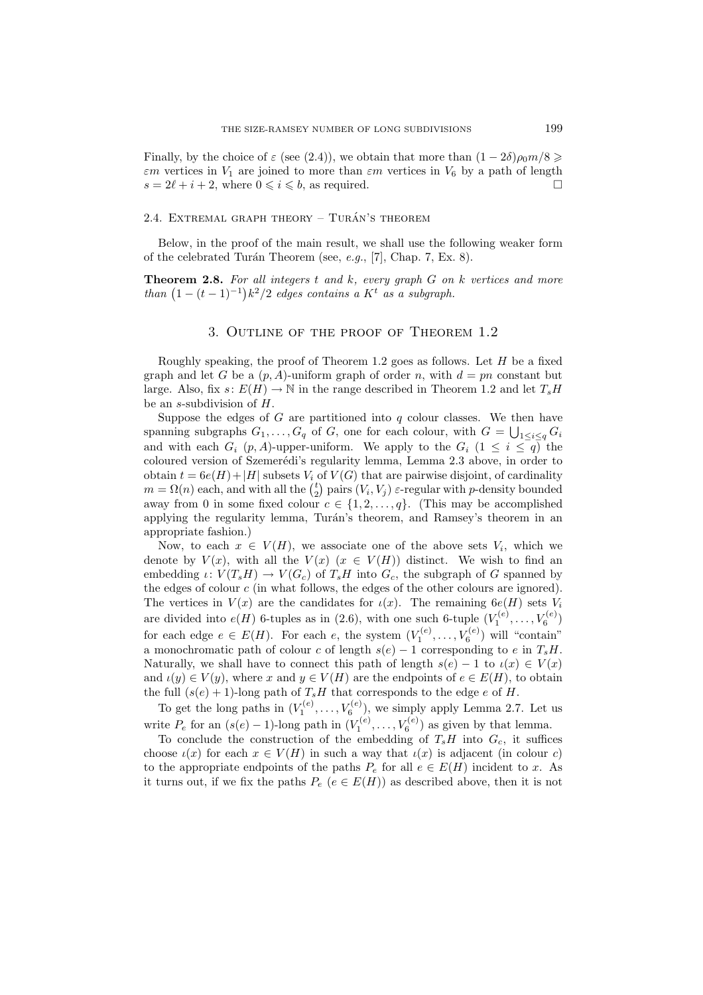Finally, by the choice of  $\varepsilon$  (see (2.4)), we obtain that more than  $(1 - 2\delta)\rho_0 m/8 \geq$  $\varepsilon m$  vertices in  $V_1$  are joined to more than  $\varepsilon m$  vertices in  $V_6$  by a path of length  $s = 2\ell + i + 2$ , where  $0 \le i \le b$ , as required.

#### 2.4. EXTREMAL GRAPH THEORY – TURÁN'S THEOREM

Below, in the proof of the main result, we shall use the following weaker form of the celebrated Tur´an Theorem (see, *e.g.*, [7], Chap. 7, Ex. 8).

**Theorem 2.8.** *For all integers* t *and* k*, every graph* G *on* k *vertices and more than*  $(1 - (t - 1)^{-1})k^2/2$  *edges contains a* K<sup>t</sup> *as a subgraph.* 

#### 3. Outline of the proof of Theorem 1.2

Roughly speaking, the proof of Theorem 1.2 goes as follows. Let  $H$  be a fixed graph and let G be a  $(p, A)$ -uniform graph of order n, with  $d = pn$  constant but large. Also, fix  $s: E(H) \to \mathbb{N}$  in the range described in Theorem 1.2 and let  $T_sH$ be an s-subdivision of H.

Suppose the edges of  $G$  are partitioned into  $q$  colour classes. We then have spanning subgraphs  $G_1, \ldots, G_q$  of G, one for each colour, with  $G = \bigcup_{1 \leq i \leq q} G_i$ and with each  $G_i$  (p, A)-upper-uniform. We apply to the  $G_i$  ( $1 \leq i \leq q$ ) the coloured version of Szemerédi's regularity lemma, Lemma 2.3 above, in order to obtain  $t = 6e(H) + |H|$  subsets  $V_i$  of  $V(G)$  that are pairwise disjoint, of cardinality  $m = \Omega(n)$  each, and with all the  $\binom{t}{2}$ <sup>t</sup><sub>2</sub>) pairs  $(V_i, V_j)$   $\varepsilon$ -regular with *p*-density bounded away from 0 in some fixed colour  $c \in \{1, 2, ..., q\}$ . (This may be accomplished applying the regularity lemma, Turán's theorem, and Ramsey's theorem in an appropriate fashion.)

Now, to each  $x \in V(H)$ , we associate one of the above sets  $V_i$ , which we denote by  $V(x)$ , with all the  $V(x)$   $(x \in V(H))$  distinct. We wish to find an embedding  $\iota: V(T_s H) \to V(G_c)$  of  $T_s H$  into  $G_c$ , the subgraph of G spanned by the edges of colour  $c$  (in what follows, the edges of the other colours are ignored). The vertices in  $V(x)$  are the candidates for  $\iota(x)$ . The remaining  $6e(H)$  sets  $V_i$ are divided into  $e(H)$  6-tuples as in (2.6), with one such 6-tuple  $(V_1^{(e)}, \ldots, V_6^{(e)})$ for each edge  $e \in E(H)$ . For each e, the system  $(V_1^{(e)}, \ldots, V_6^{(e)})$  will "contain" a monochromatic path of colour c of length  $s(e) - 1$  corresponding to e in  $T_s H$ . Naturally, we shall have to connect this path of length  $s(e) - 1$  to  $\iota(x) \in V(x)$ and  $\iota(y) \in V(y)$ , where x and  $y \in V(H)$  are the endpoints of  $e \in E(H)$ , to obtain the full  $(s(e) + 1)$ -long path of  $T_sH$  that corresponds to the edge e of H.

To get the long paths in  $(V_1^{(e)}, \ldots, V_6^{(e)})$ , we simply apply Lemma 2.7. Let us write  $P_e$  for an  $(s(e) - 1)$ -long path in  $(V_1^{(e)}, \ldots, V_6^{(e)})$  as given by that lemma.

To conclude the construction of the embedding of  $T_sH$  into  $G_c$ , it suffices choose  $\iota(x)$  for each  $x \in V(H)$  in such a way that  $\iota(x)$  is adjacent (in colour c) to the appropriate endpoints of the paths  $P_e$  for all  $e \in E(H)$  incident to x. As it turns out, if we fix the paths  $P_e$  ( $e \in E(H)$ ) as described above, then it is not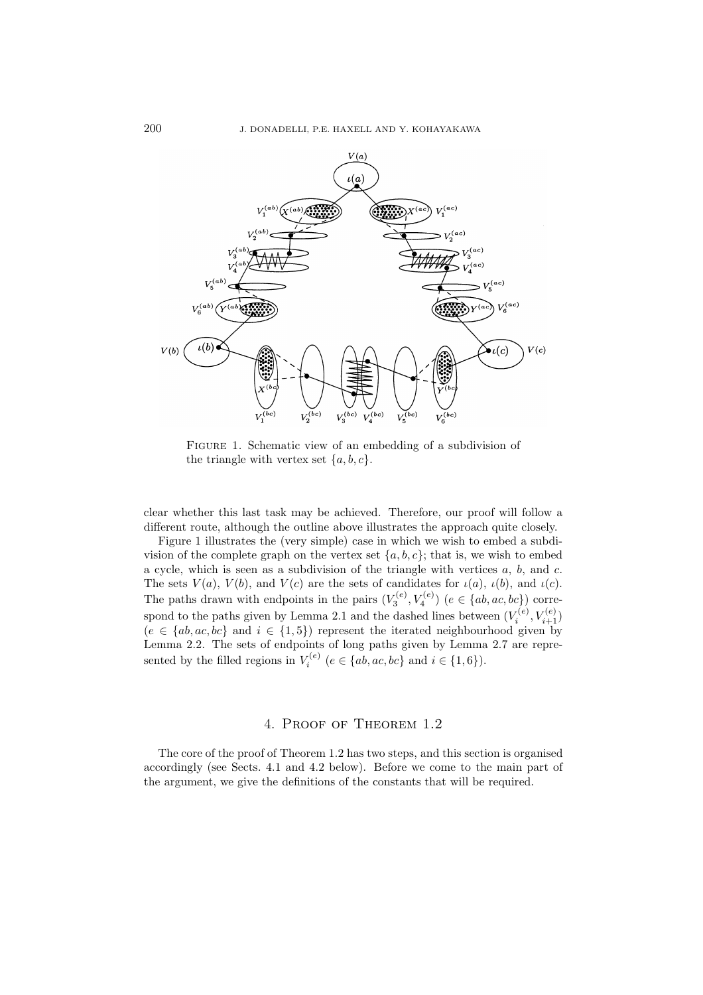

Figure 1. Schematic view of an embedding of a subdivision of the triangle with vertex set  $\{a, b, c\}.$ 

clear whether this last task may be achieved. Therefore, our proof will follow a different route, although the outline above illustrates the approach quite closely.

Figure 1 illustrates the (very simple) case in which we wish to embed a subdivision of the complete graph on the vertex set  $\{a, b, c\}$ ; that is, we wish to embed a cycle, which is seen as a subdivision of the triangle with vertices  $a, b,$  and  $c$ . The sets  $V(a)$ ,  $V(b)$ , and  $V(c)$  are the sets of candidates for  $\iota(a)$ ,  $\iota(b)$ , and  $\iota(c)$ . The paths drawn with endpoints in the pairs  $(V_3^{(e)}, V_4^{(e)})$   $(e \in \{ab, ac, bc\})$  correspond to the paths given by Lemma 2.1 and the dashed lines between  $(V_i^{(e)}, V_{i+1}^{(e)})$  $(e \in \{ab, ac, bc\}$  and  $i \in \{1, 5\})$  represent the iterated neighbourhood given by Lemma 2.2. The sets of endpoints of long paths given by Lemma 2.7 are represented by the filled regions in  $V_i^{(e)}$   $(e \in \{ab, ac, bc\})$  and  $i \in \{1, 6\})$ .

## 4. Proof of Theorem 1.2

The core of the proof of Theorem 1.2 has two steps, and this section is organised accordingly (see Sects. 4.1 and 4.2 below). Before we come to the main part of the argument, we give the definitions of the constants that will be required.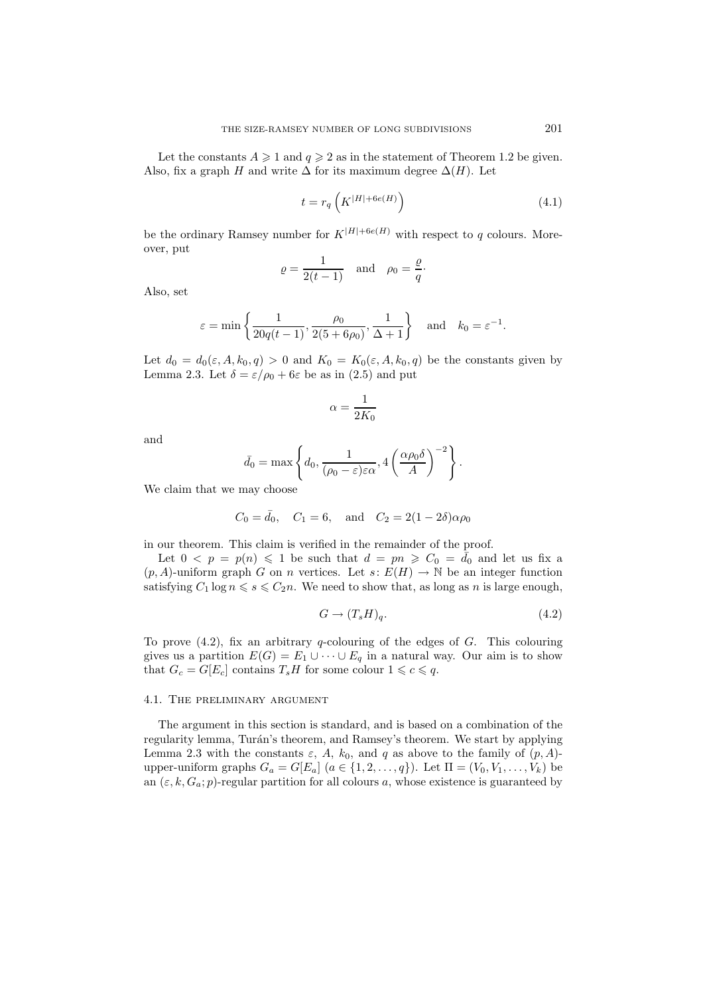Let the constants  $A \geq 1$  and  $q \geq 2$  as in the statement of Theorem 1.2 be given. Also, fix a graph H and write  $\Delta$  for its maximum degree  $\Delta(H)$ . Let

$$
t = r_q \left( K^{|H| + 6e(H)} \right) \tag{4.1}
$$

be the ordinary Ramsey number for  $K^{|H|+6e(H)}$  with respect to q colours. Moreover, put

$$
\varrho = \frac{1}{2(t-1)} \quad \text{and} \quad \rho_0 = \frac{\varrho}{q}.
$$

Also, set

$$
\varepsilon = \min\left\{\frac{1}{20q(t-1)}, \frac{\rho_0}{2(5+6\rho_0)}, \frac{1}{\Delta+1}\right\}
$$
 and  $k_0 = \varepsilon^{-1}$ .

Let  $d_0 = d_0(\varepsilon, A, k_0, q) > 0$  and  $K_0 = K_0(\varepsilon, A, k_0, q)$  be the constants given by Lemma 2.3. Let  $\delta = \varepsilon/\rho_0 + 6\varepsilon$  be as in (2.5) and put

$$
\alpha=\frac{1}{2K_0}
$$

and

$$
\bar{d}_0 = \max \left\{ d_0, \frac{1}{(\rho_0 - \varepsilon)\varepsilon\alpha}, 4\left(\frac{\alpha\rho_0\delta}{A}\right)^{-2} \right\}.
$$

We claim that we may choose

$$
C_0 = \bar{d}_0
$$
,  $C_1 = 6$ , and  $C_2 = 2(1 - 2\delta)\alpha\rho_0$ 

in our theorem. This claim is verified in the remainder of the proof.

Let  $0 \leq p = p(n) \leq 1$  be such that  $d = pn \geq C_0 = \overline{d}_0$  and let us fix a  $(p, A)$ -uniform graph G on n vertices. Let  $s: E(H) \to \mathbb{N}$  be an integer function satisfying  $C_1 \log n \leq s \leq C_2 n$ . We need to show that, as long as n is large enough,

$$
G \to (T_s H)_q. \tag{4.2}
$$

To prove  $(4.2)$ , fix an arbitrary q-colouring of the edges of G. This colouring gives us a partition  $E(G) = E_1 \cup \cdots \cup E_q$  in a natural way. Our aim is to show that  $G_c = G[E_c]$  contains  $T_s H$  for some colour  $1 \leq c \leq q$ .

### 4.1. The preliminary argument

The argument in this section is standard, and is based on a combination of the regularity lemma, Turán's theorem, and Ramsey's theorem. We start by applying Lemma 2.3 with the constants  $\varepsilon$ , A,  $k_0$ , and q as above to the family of  $(p, A)$ upper-uniform graphs  $G_a = G[E_a]$   $(a \in \{1, 2, ..., q\})$ . Let  $\Pi = (V_0, V_1, ..., V_k)$  be an  $(\varepsilon, k, G_a; p)$ -regular partition for all colours a, whose existence is guaranteed by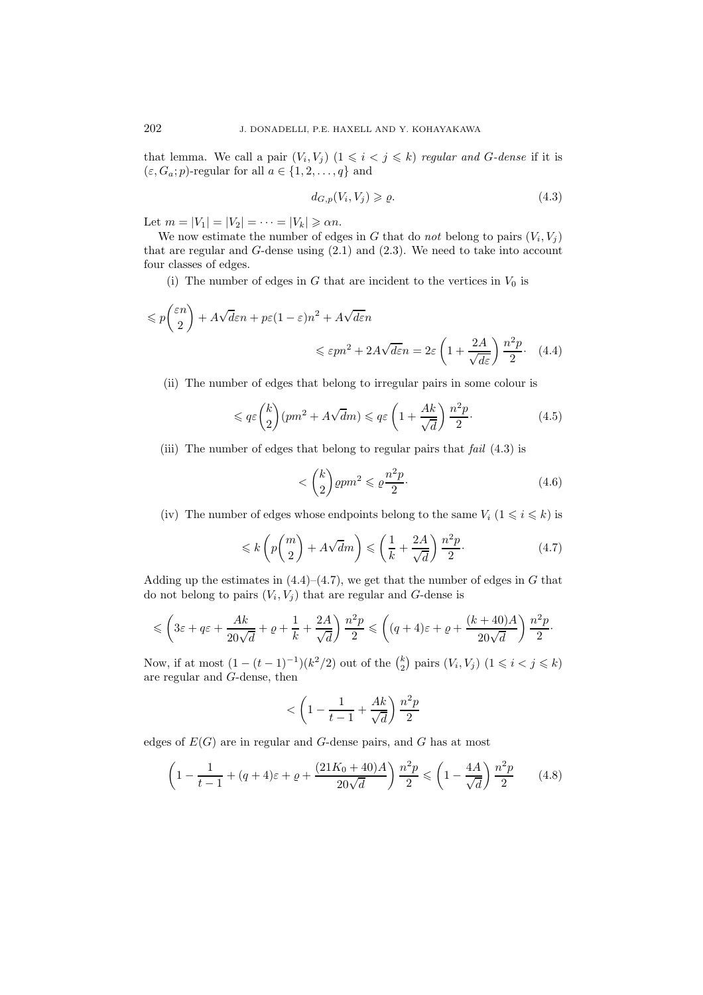that lemma. We call a pair  $(V_i, V_j)$   $(1 \leq i \leq j \leq k)$  *regular and G-dense* if it is  $(\varepsilon, G_a; p)$ -regular for all  $a \in \{1, 2, ..., q\}$  and

$$
d_{G,p}(V_i, V_j) \geqslant \varrho. \tag{4.3}
$$

Let  $m = |V_1| = |V_2| = \cdots = |V_k| \ge \alpha n$ .

We now estimate the number of edges in G that do *not* belong to pairs  $(V_i, V_j)$ that are regular and  $G$ -dense using  $(2.1)$  and  $(2.3)$ . We need to take into account four classes of edges.

(i) The number of edges in G that are incident to the vertices in  $V_0$  is

$$
\leqslant p\binom{\varepsilon n}{2} + A\sqrt{d\varepsilon}n + p\varepsilon(1-\varepsilon)n^2 + A\sqrt{d\varepsilon}n
$$
  

$$
\leqslant \varepsilon pn^2 + 2A\sqrt{d\varepsilon}n = 2\varepsilon \left(1 + \frac{2A}{\sqrt{d\varepsilon}}\right) \frac{n^2p}{2}.
$$
 (4.4)

(ii) The number of edges that belong to irregular pairs in some colour is

$$
\leqslant q\varepsilon \binom{k}{2}(pm^2 + A\sqrt{d}m) \leqslant q\varepsilon \left(1 + \frac{Ak}{\sqrt{d}}\right)\frac{n^2p}{2}.\tag{4.5}
$$

(iii) The number of edges that belong to regular pairs that *fail* (4.3) is

$$
\langle \binom{k}{2} \varrho p m^2 \leqslant \varrho \frac{n^2 p}{2}.\tag{4.6}
$$

(iv) The number of edges whose endpoints belong to the same  $V_i$   $(1 \leq i \leq k)$  is

$$
\leq k \left( p \binom{m}{2} + A\sqrt{d}m \right) \leq \left( \frac{1}{k} + \frac{2A}{\sqrt{d}} \right) \frac{n^2 p}{2}.
$$
\n(4.7)

Adding up the estimates in  $(4.4)$ – $(4.7)$ , we get that the number of edges in G that do not belong to pairs  $(V_i, V_j)$  that are regular and G-dense is

$$
\leqslant \left(3\varepsilon+q\varepsilon+\frac{Ak}{20\sqrt{d}}+\varrho+\frac{1}{k}+\frac{2A}{\sqrt{d}}\right)\frac{n^2p}{2}\leqslant \left((q+4)\varepsilon+\varrho+\frac{(k+40)A}{20\sqrt{d}}\right)\frac{n^2p}{2}.
$$

Now, if at most  $(1 - (t-1)^{-1})(k^2/2)$  out of the  $\binom{k}{2}$  $_{2}^{k}$ ) pairs  $(V_{i}, V_{j})$   $(1 \leq i < j \leq k)$ are regular and G-dense, then

$$
<\left(1-\frac{1}{t-1}+\frac{Ak}{\sqrt{d}}\right)\frac{n^2p}{2}
$$

edges of  $E(G)$  are in regular and G-dense pairs, and G has at most

$$
\left(1 - \frac{1}{t-1} + (q+4)\varepsilon + \varrho + \frac{(21K_0 + 40)A}{20\sqrt{d}}\right) \frac{n^2 p}{2} \le \left(1 - \frac{4A}{\sqrt{d}}\right) \frac{n^2 p}{2} \tag{4.8}
$$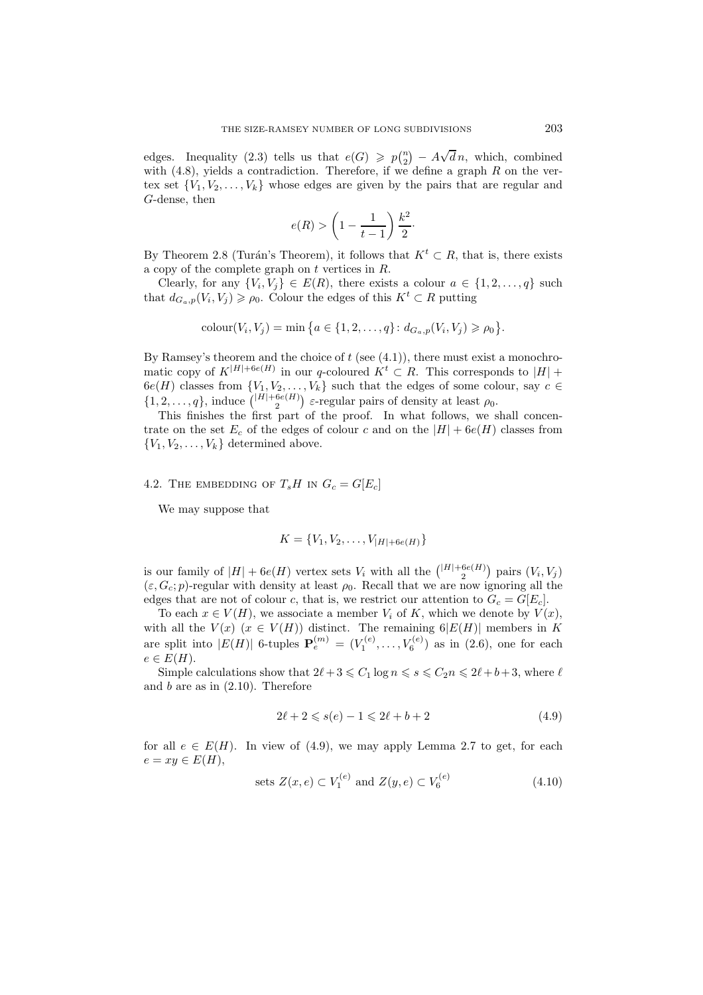edges. Inequality (2.3) tells us that  $e(G) \geqslant p_{2}^{n}$  $\binom{n}{2} - A\sqrt{d}n$ , which, combined with  $(4.8)$ , yields a contradiction. Therefore, if we define a graph R on the vertex set  $\{V_1, V_2, \ldots, V_k\}$  whose edges are given by the pairs that are regular and G-dense, then

$$
e(R) > \left(1 - \frac{1}{t-1}\right)\frac{k^2}{2}.
$$

By Theorem 2.8 (Turán's Theorem), it follows that  $K^t \subset R$ , that is, there exists a copy of the complete graph on t vertices in R.

Clearly, for any  $\{V_i, V_j\} \in E(R)$ , there exists a colour  $a \in \{1, 2, ..., q\}$  such that  $d_{G_a,p}(V_i, V_j) \geqslant \rho_0$ . Colour the edges of this  $K^t \subset R$  putting

$$
colour(V_i, V_j) = \min \big\{ a \in \{1, 2, \dots, q\} \colon d_{G_a, p}(V_i, V_j) \geq \rho_0 \big\}.
$$

By Ramsey's theorem and the choice of  $t$  (see  $(4.1)$ ), there must exist a monochromatic copy of  $K^{|H|+6e(H)}$  in our q-coloured  $K^t \subset R$ . This corresponds to  $|H|$  +  $6e(H)$  classes from  $\{V_1, V_2, \ldots, V_k\}$  such that the edges of some colour, say  $c \in$  $\{1, 2, \ldots, q\}$ , induce  $\binom{|H| + 6e(H)}{2}$   $\varepsilon$ -regular pairs of density at least  $\rho_0$ .

This finishes the first part of the proof. In what follows, we shall concentrate on the set  $E_c$  of the edges of colour c and on the  $|H| + 6e(H)$  classes from  ${V_1, V_2, \ldots, V_k}$  determined above.

4.2. THE EMBEDDING OF  $T_sH$  in  $G_c = G[E_c]$ 

We may suppose that

$$
K = \{V_1, V_2, \dots, V_{|H| + 6e(H)}\}
$$

is our family of  $|H| + 6e(H)$  vertex sets  $V_i$  with all the  $\binom{|H| + 6e(H)}{2}$  pairs  $(V_i, V_j)$  $(\varepsilon, G_c; p)$ -regular with density at least  $\rho_0$ . Recall that we are now ignoring all the edges that are not of colour c, that is, we restrict our attention to  $G_c = G[E_c]$ .

To each  $x \in V(H)$ , we associate a member  $V_i$  of K, which we denote by  $V(x)$ , with all the  $V(x)$   $(x \in V(H))$  distinct. The remaining  $6|E(H)|$  members in K are split into  $|E(H)|$  6-tuples  ${\bf P}_e^{(m)} = (V_1^{(e)}, \ldots, V_6^{(e)})$  as in (2.6), one for each  $e \in E(H)$ .

Simple calculations show that  $2\ell + 3 \leq C_1 \log n \leq s \leq C_2 n \leq 2\ell + b + 3$ , where  $\ell$ and  $b$  are as in  $(2.10)$ . Therefore

$$
2\ell + 2 \leqslant s(e) - 1 \leqslant 2\ell + b + 2 \tag{4.9}
$$

for all  $e \in E(H)$ . In view of (4.9), we may apply Lemma 2.7 to get, for each  $e = xy \in E(H),$ 

sets 
$$
Z(x, e) \subset V_1^{(e)}
$$
 and  $Z(y, e) \subset V_6^{(e)}$  (4.10)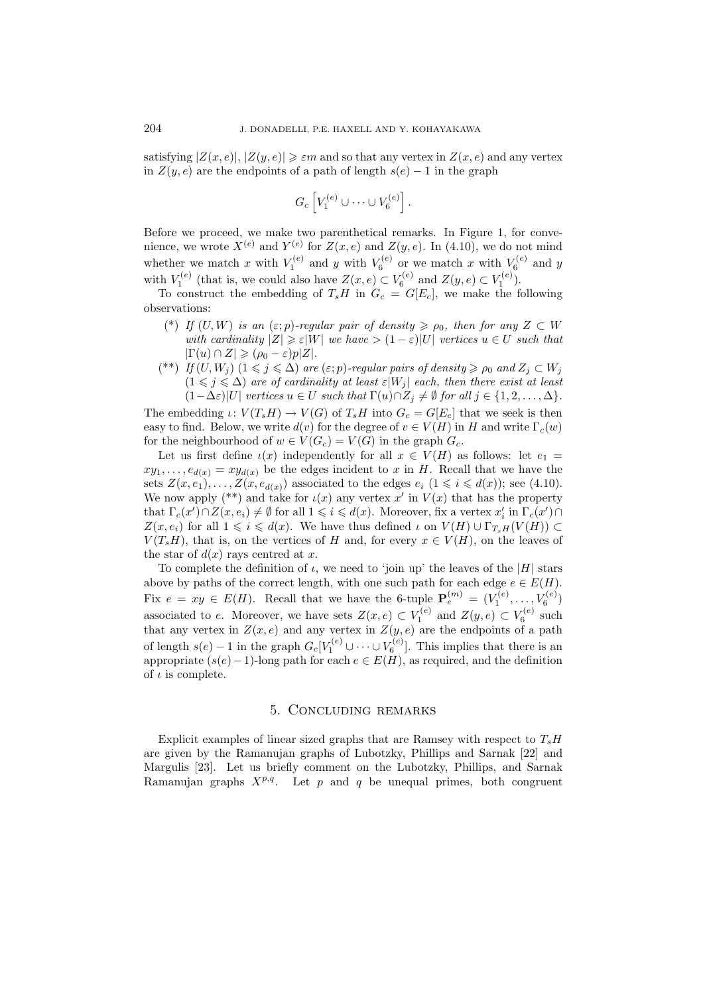satisfying  $|Z(x, e)|, |Z(y, e)| \geq \varepsilon m$  and so that any vertex in  $Z(x, e)$  and any vertex in  $Z(y, e)$  are the endpoints of a path of length  $s(e) - 1$  in the graph

$$
G_c\left[V_1^{(e)}\cup\cdots\cup V_6^{(e)}\right].
$$

Before we proceed, we make two parenthetical remarks. In Figure 1, for convenience, we wrote  $X^{(e)}$  and  $Y^{(e)}$  for  $Z(x, e)$  and  $Z(y, e)$ . In (4.10), we do not mind whether we match x with  $V_1^{(e)}$  and y with  $V_6^{(e)}$  or we match x with  $V_6^{(e)}$  and y with  $V_1^{(e)}$  (that is, we could also have  $Z(x, e) \subset V_6^{(e)}$  and  $Z(y, e) \subset V_1^{(e)}$ ).

To construct the embedding of  $T_sH$  in  $G_c = G[E_c]$ , we make the following observations:

- (\*) *If*  $(U, W)$  *is an*  $(\varepsilon; p)$ *-regular pair of density*  $\geq \rho_0$ *, then for any*  $Z \subset W$ *with cardinality*  $|Z| \geq \varepsilon |W|$  *we have*  $> (1 - \varepsilon)|U|$  *vertices*  $u \in U$  *such that*  $|\Gamma(u) \cap Z| \geqslant (\rho_0 - \varepsilon)p|Z|.$
- (\*\*) *If*  $(U, W_j)$   $(1 \leq j \leq \Delta)$  *are*  $(\varepsilon; p)$ *-regular pairs of density*  $\geq \rho_0$  *and*  $Z_j \subset W_j$  $(1 \leq j \leq \Delta)$  are of cardinality at least  $\varepsilon|W_j|$  each, then there exist at least  $(1-\Delta\varepsilon)|U|$  *vertices*  $u \in U$  *such that*  $\Gamma(u) \cap Z_i \neq \emptyset$  *for all*  $j \in \{1,2,\ldots,\Delta\}.$

The embedding  $\iota: V(T_s H) \to V(G)$  of  $T_s H$  into  $G_c = G[E_c]$  that we seek is then easy to find. Below, we write  $d(v)$  for the degree of  $v \in V(H)$  in H and write  $\Gamma_c(w)$ for the neighbourhood of  $w \in V(G_c) = V(G)$  in the graph  $G_c$ .

Let us first define  $\iota(x)$  independently for all  $x \in V(H)$  as follows: let  $e_1 =$  $xy_1,\ldots,e_{d(x)}=xy_{d(x)}$  be the edges incident to x in H. Recall that we have the sets  $Z(x, e_1),..., Z(x, e_{d(x)})$  associated to the edges  $e_i$   $(1 \leq i \leq d(x))$ ; see (4.10). We now apply (\*\*) and take for  $\iota(x)$  any vertex x' in  $V(x)$  that has the property that  $\Gamma_c(x') \cap Z(x, e_i) \neq \emptyset$  for all  $1 \leq i \leq d(x)$ . Moreover, fix a vertex  $x'_i$  in  $\Gamma_c(x') \cap Z(x, e_i)$  $Z(x, e_i)$  for all  $1 \leq i \leq d(x)$ . We have thus defined  $\iota$  on  $V(H) \cup \Gamma_{T,H}(V(H)) \subset$  $V(T_sH)$ , that is, on the vertices of H and, for every  $x \in V(H)$ , on the leaves of the star of  $d(x)$  rays centred at x.

To complete the definition of  $\iota$ , we need to 'join up' the leaves of the |H| stars above by paths of the correct length, with one such path for each edge  $e \in E(H)$ . Fix  $e = xy \in E(H)$ . Recall that we have the 6-tuple  $\mathbf{P}_e^{(m)} = (V_1^{(e)}, \ldots, V_6^{(e)})$ associated to e. Moreover, we have sets  $Z(x, e) \subset V_1^{(e)}$  and  $Z(y, e) \subset V_6^{(e)}$  such that any vertex in  $Z(x, e)$  and any vertex in  $Z(y, e)$  are the endpoints of a path of length  $s(e) - 1$  in the graph  $G_c[V_1^{(e)} \cup \cdots \cup V_6^{(e)}]$ . This implies that there is an appropriate  $(s(e) - 1)$ -long path for each  $e \in E(H)$ , as required, and the definition of  $\iota$  is complete.

### 5. Concluding remarks

Explicit examples of linear sized graphs that are Ramsey with respect to  $T_sH$ are given by the Ramanujan graphs of Lubotzky, Phillips and Sarnak [22] and Margulis [23]. Let us briefly comment on the Lubotzky, Phillips, and Sarnak Ramanujan graphs  $X^{p,q}$ . Let p and q be unequal primes, both congruent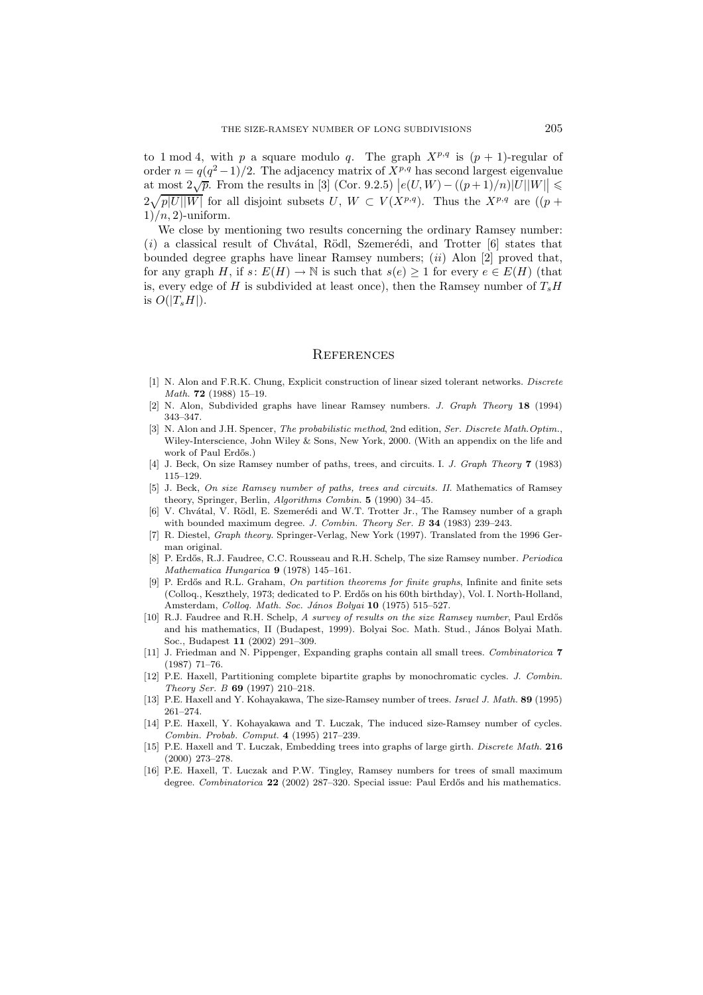to 1 mod 4, with p a square modulo q. The graph  $X^{p,q}$  is  $(p + 1)$ -regular of order  $n = q(q^2-1)/2$ . The adjacency matrix of  $X^{p,q}$  has second largest eigenvalue at most  $2\sqrt{p}$ . From the results in [3] (Cor. 9.2.5)  $|e(U, W) - ((p+1)/n)|U||W|| \le$  $2\sqrt{p|U||W|}$  for all disjoint subsets  $U, W \subset V(X^{p,q})$ . Thus the  $X^{p,q}$  are  $((p +$  $1)/n$ , 2)-uniform.

We close by mentioning two results concerning the ordinary Ramsey number:  $(i)$  a classical result of Chv $\alpha$ tal, Rödl, Szemerédi, and Trotter  $[6]$  states that bounded degree graphs have linear Ramsey numbers; (*ii*) Alon [2] proved that, for any graph H, if  $s: E(H) \to \mathbb{N}$  is such that  $s(e) \geq 1$  for every  $e \in E(H)$  (that is, every edge of H is subdivided at least once), then the Ramsey number of  $T_sH$ is  $O(|T_sH|)$ .

#### **REFERENCES**

- [1] N. Alon and F.R.K. Chung, Explicit construction of linear sized tolerant networks. *Discrete Math.* **72** (1988) 15–19.
- [2] N. Alon, Subdivided graphs have linear Ramsey numbers. *J. Graph Theory* **18** (1994) 343–347.
- [3] N. Alon and J.H. Spencer, *The probabilistic method*, 2nd edition, *Ser. Discrete Math.Optim.*, Wiley-Interscience, John Wiley & Sons, New York, 2000. (With an appendix on the life and work of Paul Erdős.)
- [4] J. Beck, On size Ramsey number of paths, trees, and circuits. I. *J. Graph Theory* **7** (1983) 115–129.
- [5] J. Beck, *On size Ramsey number of paths, trees and circuits. II*. Mathematics of Ramsey theory, Springer, Berlin, *Algorithms Combin.* **5** (1990) 34–45.
- [6] V. Chvátal, V. Rödl, E. Szemerédi and W.T. Trotter Jr., The Ramsey number of a graph with bounded maximum degree. *J. Combin. Theory Ser. B* **34** (1983) 239–243.
- [7] R. Diestel, *Graph theory*. Springer-Verlag, New York (1997). Translated from the 1996 German original.
- [8] P. Erd˝os, R.J. Faudree, C.C. Rousseau and R.H. Schelp, The size Ramsey number. *Periodica Mathematica Hungarica* **9** (1978) 145–161.
- [9] P. Erd˝os and R.L. Graham, *On partition theorems for finite graphs*, Infinite and finite sets (Colloq., Keszthely, 1973; dedicated to P. Erd˝os on his 60th birthday), Vol. I. North-Holland, Amsterdam, *Colloq. Math. Soc. János Bolyai* **10** (1975) 515–527.
- [10] R.J. Faudree and R.H. Schelp, *A survey of results on the size Ramsey number*, Paul Erdős and his mathematics, II (Budapest, 1999). Bolyai Soc. Math. Stud., János Bolyai Math. Soc., Budapest **11** (2002) 291–309.
- [11] J. Friedman and N. Pippenger, Expanding graphs contain all small trees. *Combinatorica* **7** (1987) 71–76.
- [12] P.E. Haxell, Partitioning complete bipartite graphs by monochromatic cycles. *J. Combin. Theory Ser. B* **69** (1997) 210–218.
- [13] P.E. Haxell and Y. Kohayakawa, The size-Ramsey number of trees. *Israel J. Math.* **89** (1995) 261–274.
- [14] P.E. Haxell, Y. Kohayakawa and T. Luczak, The induced size-Ramsey number of cycles. *Combin. Probab. Comput.* **4** (1995) 217–239.
- [15] P.E. Haxell and T. Luczak, Embedding trees into graphs of large girth. *Discrete Math.* **216** (2000) 273–278.
- [16] P.E. Haxell, T. Luczak and P.W. Tingley, Ramsey numbers for trees of small maximum degree. *Combinatorica* 22 (2002) 287–320. Special issue: Paul Erdős and his mathematics.